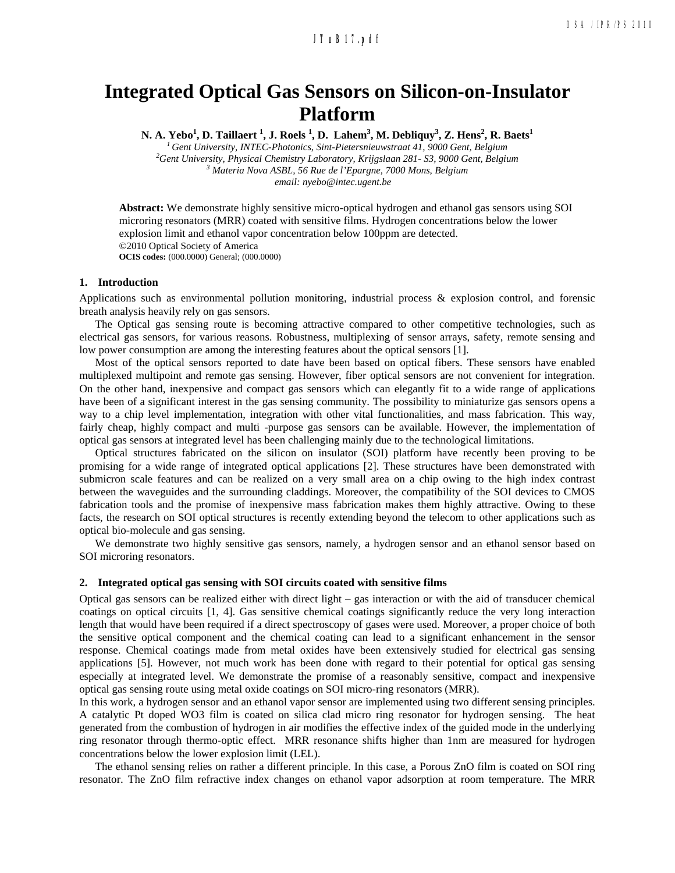# **a236\_1.pdf JTuB17.pdf**

# **Integrated Optical Gas Sensors on Silicon-on-Insulator Platform**

**N. A. Yebo** $^1$ **, D. Taillaert**  $^1$ **, J. Roels**  $^1$ **, D. Lahem** $^3$ **, M. Debliquy** $^3$ **, Z. Hens** $^2$ **, R. Baets** $^1$ 

*1 Gent University, INTEC-Photonics, Sint-Pietersnieuwstraat 41, 9000 Gent, Belgium*  <sup>2</sup> Gent University, Physical Chemistry Laboratory, Krijgslaan 281- S3, 9000 Gent, Belgium<br><sup>3</sup> Mataria Nova ASBL 56 Bus de l'Engrane, 7000 Mans, Belgium  *Materia Nova ASBL, 56 Rue de l'Epargne, 7000 Mons, Belgium email: nyebo@intec.ugent.be*

**Abstract:** We demonstrate highly sensitive micro-optical hydrogen and ethanol gas sensors using SOI microring resonators (MRR) coated with sensitive films. Hydrogen concentrations below the lower explosion limit and ethanol vapor concentration below 100ppm are detected. ©2010 Optical Society of America **OCIS codes:** (000.0000) General; (000.0000)

### **1. Introduction**

Applications such as environmental pollution monitoring, industrial process & explosion control, and forensic breath analysis heavily rely on gas sensors.

The Optical gas sensing route is becoming attractive compared to other competitive technologies, such as electrical gas sensors, for various reasons. Robustness, multiplexing of sensor arrays, safety, remote sensing and low power consumption are among the interesting features about the optical sensors [1].

Most of the optical sensors reported to date have been based on optical fibers. These sensors have enabled multiplexed multipoint and remote gas sensing. However, fiber optical sensors are not convenient for integration. On the other hand, inexpensive and compact gas sensors which can elegantly fit to a wide range of applications have been of a significant interest in the gas sensing community. The possibility to miniaturize gas sensors opens a way to a chip level implementation, integration with other vital functionalities, and mass fabrication. This way, fairly cheap, highly compact and multi -purpose gas sensors can be available. However, the implementation of optical gas sensors at integrated level has been challenging mainly due to the technological limitations.

Optical structures fabricated on the silicon on insulator (SOI) platform have recently been proving to be promising for a wide range of integrated optical applications [2]. These structures have been demonstrated with submicron scale features and can be realized on a very small area on a chip owing to the high index contrast between the waveguides and the surrounding claddings. Moreover, the compatibility of the SOI devices to CMOS fabrication tools and the promise of inexpensive mass fabrication makes them highly attractive. Owing to these facts, the research on SOI optical structures is recently extending beyond the telecom to other applications such as optical bio-molecule and gas sensing.

We demonstrate two highly sensitive gas sensors, namely, a hydrogen sensor and an ethanol sensor based on SOI microring resonators.

## **2. Integrated optical gas sensing with SOI circuits coated with sensitive films**

Optical gas sensors can be realized either with direct light – gas interaction or with the aid of transducer chemical coatings on optical circuits [1, 4]. Gas sensitive chemical coatings significantly reduce the very long interaction length that would have been required if a direct spectroscopy of gases were used. Moreover, a proper choice of both the sensitive optical component and the chemical coating can lead to a significant enhancement in the sensor response. Chemical coatings made from metal oxides have been extensively studied for electrical gas sensing applications [5]. However, not much work has been done with regard to their potential for optical gas sensing especially at integrated level. We demonstrate the promise of a reasonably sensitive, compact and inexpensive optical gas sensing route using metal oxide coatings on SOI micro-ring resonators (MRR).

In this work, a hydrogen sensor and an ethanol vapor sensor are implemented using two different sensing principles. A catalytic Pt doped WO3 film is coated on silica clad micro ring resonator for hydrogen sensing. The heat generated from the combustion of hydrogen in air modifies the effective index of the guided mode in the underlying ring resonator through thermo-optic effect. MRR resonance shifts higher than 1nm are measured for hydrogen concentrations below the lower explosion limit (LEL).

The ethanol sensing relies on rather a different principle. In this case, a Porous ZnO film is coated on SOI ring resonator. The ZnO film refractive index changes on ethanol vapor adsorption at room temperature. The MRR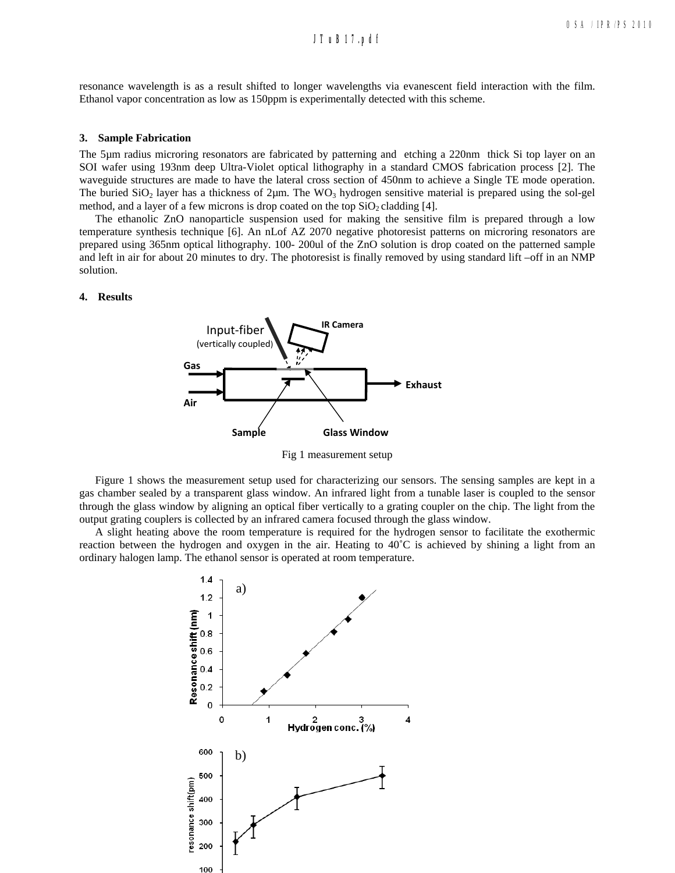# **a236\_1.pdf JTuB17.pdf**

resonance wavelength is as a result shifted to longer wavelengths via evanescent field interaction with the film. Ethanol vapor concentration as low as 150ppm is experimentally detected with this scheme.

#### **3. Sample Fabrication**

The 5µm radius microring resonators are fabricated by patterning and etching a 220nm thick Si top layer on an SOI wafer using 193nm deep Ultra-Violet optical lithography in a standard CMOS fabrication process [2]. The waveguide structures are made to have the lateral cross section of 450nm to achieve a Single TE mode operation. The buried  $SiO<sub>2</sub>$  layer has a thickness of  $2\mu$ m. The WO<sub>3</sub> hydrogen sensitive material is prepared using the sol-gel method, and a layer of a few microns is drop coated on the top  $SiO<sub>2</sub>$  cladding [4].

The ethanolic ZnO nanoparticle suspension used for making the sensitive film is prepared through a low temperature synthesis technique [6]. An nLof AZ 2070 negative photoresist patterns on microring resonators are prepared using 365nm optical lithography. 100- 200ul of the ZnO solution is drop coated on the patterned sample and left in air for about 20 minutes to dry. The photoresist is finally removed by using standard lift –off in an NMP solution.

## **4. Results**



Fig 1 measurement setup

Figure 1 shows the measurement setup used for characterizing our sensors. The sensing samples are kept in a gas chamber sealed by a transparent glass window. An infrared light from a tunable laser is coupled to the sensor through the glass window by aligning an optical fiber vertically to a grating coupler on the chip. The light from the output grating couplers is collected by an infrared camera focused through the glass window.

A slight heating above the room temperature is required for the hydrogen sensor to facilitate the exothermic reaction between the hydrogen and oxygen in the air. Heating to 40˚C is achieved by shining a light from an ordinary halogen lamp. The ethanol sensor is operated at room temperature.